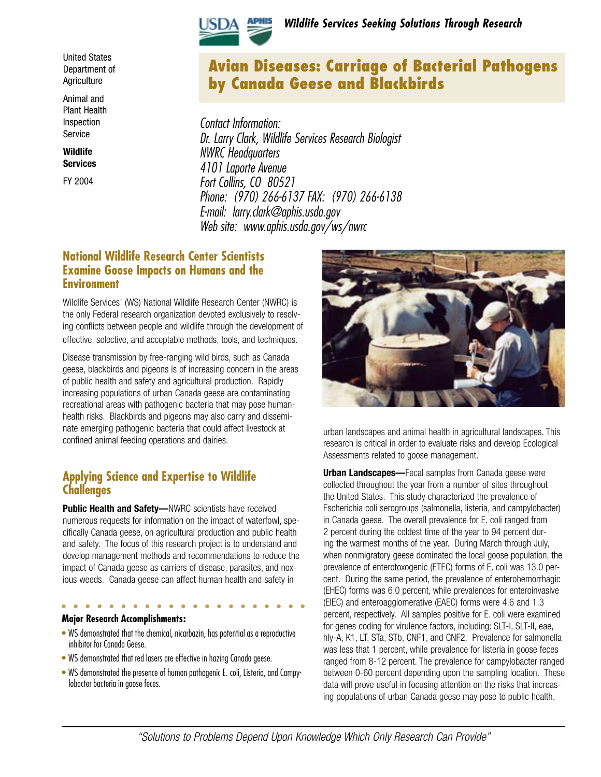

United States Department of Agriculture

Animal and Plant Health Inspection Service

**Wildlife Services** 

FY 2004

# **Avian Diseases: Carriage of Bacterial Pathogens by Canada Geese and Blackbirds**

Contact Information: Dr. Larry Clark, Wildlife Services Research Biologist NWRC Headquarters 4101 Laporte Avenue Fort Collins, CO 80521 Phone: (970) 266-6137 FAX: (970) 266-6138 E-mail: larry.clark@aphis.usda.gov Web site: www.aphis.usda.gov/ws/nwrc

## **National Wildlife Research Center Scientists Examine Goose Impacts on Humans and the Environment**

Wildlife Services' (WS) National Wildlife Research Center (NWRC) is the only Federal research organization devoted exclusively to resolving conflicts between people and wildlife through the development of effective, selective, and acceptable methods, tools, and techniques.

Disease transmission by free-ranging wild birds, such as Canada geese, blackbirds and pigeons is of increasing concern in the areas of public health and safety and agricultural production. Rapidly increasing populations of urban Canada geese are contaminating recreational areas with pathogenic bacteria that may pose humanhealth risks. Blackbirds and pigeons may also carry and disseminate emerging pathogenic bacteria that could affect livestock at confined animal feeding operations and dairies.

# **Applying Science and Expertise to Wildlife Challenges**

**Public Health and Safety—NWRC scientists have received** numerous requests for information on the impact of waterfowl, specifically Canada geese, on agricultural production and public health and safety. The focus of this research project is to understand and develop management methods and recommendations to reduce the impact of Canada geese as carriers of disease, parasites, and noxious weeds. Canada geese can affect human health and safety in

#### **Major Research Accomplishments:**

- WS demonstrated that the chemical, nicarbazin, has potential as a reproductive inhibitor for Canada Geese.
- WS demonstrated that red lasers are effective in hazing Canada geese.
- WS demonstrated the presence of human pathogenic E. coli, Listeria, and Campylobacter bacteria in goose feces.



urban landscapes and animal health in agricultural landscapes. This research is critical in order to evaluate risks and develop Ecological Assessments related to goose management.

**Urban Landscapes—**Fecal samples from Canada geese were collected throughout the year from a number of sites throughout the United States. This study characterized the prevalence of Escherichia coli serogroups (salmonella, listeria, and campylobacter) in Canada geese. The overall prevalence for E. coli ranged from 2 percent during the coldest time of the year to 94 percent during the warmest months of the year. During March through July, when nonmigratory geese dominated the local goose population, the prevalence of enterotoxogenic (ETEC) forms of E. coli was 13.0 percent. During the same period, the prevalence of enterohemorrhagic (EHEC) forms was 6.0 percent, while prevalences for enteroinvasive (EIEC) and enteroagglomerative (EAEC) forms were 4.6 and 1.3 percent, respectively. All samples positive for E. coli were examined for genes coding for virulence factors, including: SLT-I, SLT-II, eae, hly-A, K1, LT, STa, STb, CNF1, and CNF2. Prevalence for salmonella was less that 1 percent, while prevalence for listeria in goose feces ranged from 8-12 percent. The prevalence for campylobacter ranged between 0-60 percent depending upon the sampling location. These data will prove useful in focusing attention on the risks that increasing populations of urban Canada geese may pose to public health.